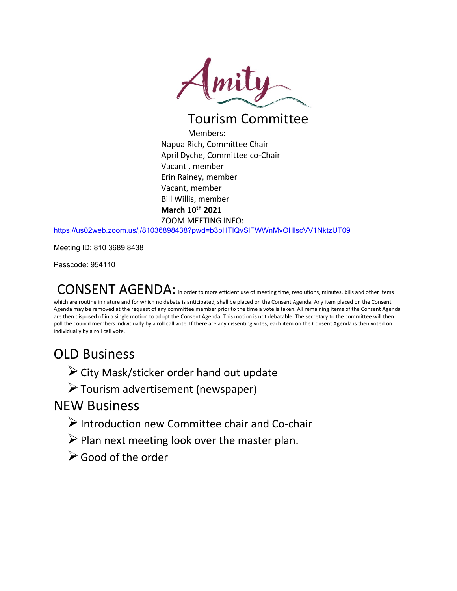

## Tourism Committee

Members: Napua Rich, Committee Chair April Dyche, Committee co-Chair Vacant , member Erin Rainey, member Vacant, member Bill Willis, member **March 10th 2021** ZOOM MEETING INFO:

<https://us02web.zoom.us/j/81036898438?pwd=b3pHTlQvSlFWWnMvOHlscVV1NktzUT09>

Meeting ID: 810 3689 8438

Passcode: 954110

CONSENT AGENDA: In order to more efficient use of meeting time, resolutions, minutes, bills and other items which are routine in nature and for which no debate is anticipated, shall be placed on the Consent Agenda. Any item placed on the Consent

Agenda may be removed at the request of any committee member prior to the time a vote is taken. All remaining items of the Consent Agenda are then disposed of in a single motion to adopt the Consent Agenda. This motion is not debatable. The secretary to the committee will then poll the council members individually by a roll call vote. If there are any dissenting votes, each item on the Consent Agenda is then voted on individually by a roll call vote.

## OLD Business

 $\triangleright$  City Mask/sticker order hand out update

 $\triangleright$  Tourism advertisement (newspaper)

## NEW Business

- $\triangleright$  Introduction new Committee chair and Co-chair
- $\triangleright$  Plan next meeting look over the master plan.
- Good of the order